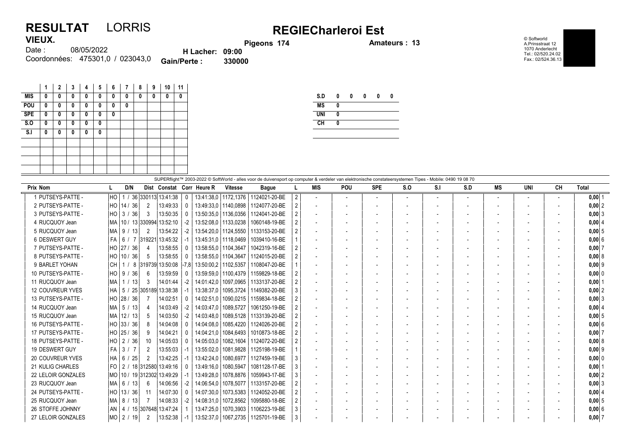## RESULTAT LORRIS<br>VIEUX. Pigeons 174 Process 174 VIEUX.

© Softworld A.Prinsstraat 12 1070 Anderlecht Tel.: 02/520.24.02 Fax.: 02/524.36.13

| VIEUX.                           |                        | Pigeons 174 |
|----------------------------------|------------------------|-------------|
| 08/05/2022<br>Date :             | <b>H</b> Lacher: 09:00 |             |
| Coordonnées: 475301.0 / 023043.0 | <b>Gain/Perte:</b>     | 330000      |

|                | 1 | $\mathbf{2}$ | 3 | 4 | 5 | 6 | 7 | 8 | 9 | 10 | 11 |
|----------------|---|--------------|---|---|---|---|---|---|---|----|----|
| <b>MIS</b>     | 0 | 0            | 0 | 0 | 0 | 0 | 0 | 0 | 0 | 0  | 0  |
| POU            | 0 | 0            | 0 | 0 | 0 | 0 | 0 |   |   |    |    |
| <b>SPE</b>     | 0 | 0            | 0 | 0 | 0 | 0 |   |   |   |    |    |
| S.0            | 0 | 0            | 0 | 0 | 0 |   |   |   |   |    |    |
| S <sub>1</sub> | 0 | 0            | 0 | 0 | 0 |   |   |   |   |    |    |
|                |   |              |   |   |   |   |   |   |   |    |    |
|                |   |              |   |   |   |   |   |   |   |    |    |
|                |   |              |   |   |   |   |   |   |   |    |    |
|                |   |              |   |   |   |   |   |   |   |    |    |

| S.D        | 0 | 0 | 0 | 0 | 0 |
|------------|---|---|---|---|---|
| <b>MS</b>  | 0 |   |   |   |   |
| <b>UNI</b> | 0 |   |   |   |   |
| <b>CH</b>  | 0 |   |   |   |   |
|            |   |   |   |   |   |

| SUPERflight™ 2003-2022 © SoftWorld - alles voor de duivensport op computer & verdeler van elektronische constateersystemen Tipes - Mobile: 0490 19 08 70 |                                  |                         |                            |          |            |                        |                                        |    |                          |                          |                          |                          |     |     |                          |     |    |            |
|----------------------------------------------------------------------------------------------------------------------------------------------------------|----------------------------------|-------------------------|----------------------------|----------|------------|------------------------|----------------------------------------|----|--------------------------|--------------------------|--------------------------|--------------------------|-----|-----|--------------------------|-----|----|------------|
| <b>Prix Nom</b>                                                                                                                                          | D/N                              |                         | Dist Constat Corr Heure R  |          |            | <b>Vitesse</b>         | <b>Bague</b>                           |    | <b>MIS</b>               | <b>POU</b>               | <b>SPE</b>               | $S_{0}$                  | S.I | S.D | MS                       | UNI | CН | Total      |
| 1 PUTSEYS-PATTE -                                                                                                                                        | I HO                             |                         | / 36 330113 13:41:38       | $\Omega$ |            |                        | 13:41:38.0   1172.1376   1124021-20-BE | 2  |                          | $\overline{\phantom{a}}$ | $\overline{\phantom{a}}$ | $\overline{\phantom{a}}$ |     |     | $\overline{\phantom{a}}$ |     |    | $0,00$  1  |
| 2 PUTSEYS-PATTE -                                                                                                                                        | HO   14 / 36                     | $\overline{2}$          | 13:49:33                   |          |            | 13:49:33.0   1140.0898 | 1124077-20-BE                          |    | $\overline{\phantom{a}}$ |                          |                          |                          |     |     | $\overline{\phantom{a}}$ |     |    | 0,00 2     |
| 3 PUTSEYS-PATTE -                                                                                                                                        | $HO$ 3 /<br>36                   | 3                       | 13:50:35                   |          |            | 13:50:35.0   1136.0356 | 1124041-20-BE                          |    | $\blacksquare$           |                          |                          |                          |     |     | $\overline{\phantom{a}}$ |     |    | $0,00$ 3   |
| 4 RUCQUOY Jean                                                                                                                                           | MA                               | 10 / 13 330994 13:52:10 |                            | -2       |            | 13:52:08.0   1133.0238 | 1060148-19-BE                          |    | $\overline{\phantom{a}}$ |                          |                          |                          |     |     | $\overline{\phantom{a}}$ |     |    | 0,00   4   |
| 5 RUCQUOY Jean                                                                                                                                           | MA   9 <i> </i><br> 13           | 2                       | 13:54:22                   | -2       |            |                        | 13:54:20.0   1124.5550   1133153-20-BE |    |                          |                          |                          |                          |     |     |                          |     |    | 0,005      |
| 6 DESWERT GUY                                                                                                                                            | FA   6 / 7  319221  13:45:32     |                         |                            | -1       |            | 13:45:31.0   1118.0469 | 1039410-16-BE                          |    |                          |                          |                          |                          |     |     |                          |     |    | 0,006      |
| 7 PUTSEYS-PATTE -                                                                                                                                        | HO 27 / 36                       | 4                       | 13:58:55                   |          |            | 13:58:55.0 1104.3647   | 1042319-16-BE                          |    |                          |                          |                          |                          |     |     |                          |     |    | 0,007      |
| 8 PUTSEYS-PATTE -                                                                                                                                        | HO 10 / 36                       | -5                      | 13:58:55                   |          |            |                        | 13:58:55.0   1104.3647   1124015-20-BE |    | $\overline{\phantom{a}}$ |                          |                          |                          |     |     |                          |     |    | 0,00   8   |
| 9 BARLET YOHAN                                                                                                                                           | l CH                             |                         | 1 / 8 319739 13:50:08 -7.8 |          |            |                        | 13:50:00.2   1102.5357   1108047-20-BE |    |                          |                          |                          |                          |     |     | $\overline{\phantom{a}}$ |     |    | $0,00$ 9   |
| 10 PUTSEYS-PATTE -                                                                                                                                       | $HO$   9 /<br>36                 | 6                       | 13:59:59                   |          |            |                        | 13:59:59.0   1100.4379   1159829-18-BE |    | $\overline{\phantom{a}}$ |                          |                          |                          |     |     |                          |     |    | 0,00 0     |
| 11 RUCQUOY Jean                                                                                                                                          | 1/13<br> MA                      | 3                       | 14:01:44                   | $-2$     | 14:01:42.0 |                        | 1097,0965   1133137-20-BE              |    | $\overline{\phantom{a}}$ |                          |                          |                          |     |     |                          |     |    | $0,00$   1 |
| <b>12 COUVREUR YVES</b>                                                                                                                                  | HA   5 / 25  305189  13:38:38    |                         |                            | -1       | 13:38:37.0 |                        | 1095.3724 1149382-20-BE                |    |                          |                          |                          |                          |     |     |                          |     |    | 0.00 2     |
| 13 PUTSEYS-PATTE -                                                                                                                                       | HO 28 / 36                       |                         | 14:02:51                   |          | 14:02:51.0 |                        | 1090.0215   1159834-18-BE              |    | $\overline{\phantom{a}}$ |                          |                          |                          |     |     |                          |     |    | $0,00$ 3   |
| 14 RUCQUOY Jean                                                                                                                                          | $MA$ 5 / 13                      | 4                       | 14:03:49                   | $-2$     | 14:03:47.0 | 1089.5727              | 1061250-19-BE                          |    |                          |                          |                          |                          |     |     |                          |     |    | 0.00   4   |
| 15 RUCQUOY Jean                                                                                                                                          | MA 12/13                         | 5                       | 14:03:50                   | $-2$     | 14:03:48.0 | 1089.5128              | 1133139-20-BE                          |    | $\overline{\phantom{a}}$ |                          |                          |                          |     |     | $\overline{\phantom{a}}$ |     |    | $0,00$ 5   |
| 16 PUTSEYS-PATTE -                                                                                                                                       | HO 33 / 36                       | 8                       | 14:04:08                   |          | 14:04:08.0 | 1085.4220              | 1124026-20-BE                          |    |                          |                          |                          |                          |     |     |                          |     |    | 0,006      |
| 17 PUTSEYS-PATTE -                                                                                                                                       | HO 25 / 36                       | 9                       | 14:04:21                   |          | 14:04:21.0 | 1084.6493              | 1010873-18-BE                          |    | $\overline{\phantom{a}}$ |                          |                          |                          |     |     |                          |     |    | 0,007      |
| 18 PUTSEYS-PATTE -                                                                                                                                       | HO   2 / 36                      | 10                      | 14:05:03                   |          | 14:05:03.0 |                        | 1082.1604 1124072-20-BE                |    | $\overline{\phantom{a}}$ |                          |                          |                          |     |     |                          |     |    | 0,008      |
| 19 DESWERT GUY                                                                                                                                           | FA 3/7                           | 2                       | 13:55:03                   | $-1$     | 13:55:02.0 |                        | 1081.9828   1125198-19-BE              |    | $\overline{\phantom{a}}$ |                          |                          |                          |     |     | $\overline{\phantom{a}}$ |     |    | $0,00$  9  |
| <b>20 COUVREUR YVES</b>                                                                                                                                  | HA   6 / 25                      | 2                       | 13:42:25                   |          | 13:42:24.0 |                        | 1080,6977   1127459-19-BE              |    |                          |                          |                          |                          |     |     | $\overline{\phantom{a}}$ |     |    | 0,000      |
| 21 KULIG CHARLES                                                                                                                                         | l FO                             | 2 / 18 312580 13:49:16  |                            |          | 13:49:16.0 | 1080.5947              | 1081128-17-BE                          | 3. | $\overline{a}$           |                          |                          |                          |     |     |                          |     |    | $0,00$   1 |
| 22 LELOIR GONZALES                                                                                                                                       | MO   10 / 19   312302   13:49:29 |                         |                            |          | 13:49:28,0 | 1078,8876              | 1059943-17-BE                          |    |                          |                          |                          |                          |     |     |                          |     |    | $0,00$ 2   |
| 23 RUCQUOY Jean                                                                                                                                          | $MA$ 6 /<br>  13                 | 6                       | 14:06:56                   | -2       | 14:06:54.0 |                        | 1078.5077 1133157-20-BE                |    |                          |                          |                          |                          |     |     |                          |     |    | $0,00$ 3   |
| 24 PUTSEYS-PATTE -                                                                                                                                       | HO   13 / 36                     | 11                      | 14:07:30                   |          | 14:07:30.0 |                        | 1073,5383   1124052-20-BE              |    |                          |                          |                          |                          |     |     |                          |     |    | 0,00   4   |
| 25 RUCQUOY Jean                                                                                                                                          | 8 /<br> MA<br> 13                | 7                       | 14:08:33                   | -2       | 14:08:31.0 | 1072.8562              | 1095880-18-BE                          |    |                          |                          |                          |                          |     |     |                          |     |    | 0.0015     |
| 26 STOFFE JOHNNY                                                                                                                                         | ∣AN I                            | 4 / 15 307648 13:47:24  |                            |          | 13:47:25.0 | 1070.3903              | 1106223-19-BE                          |    | $\overline{\phantom{a}}$ |                          |                          |                          |     |     | $\overline{\phantom{a}}$ |     |    | 0,006      |
| 27 LELOIR GONZALES                                                                                                                                       | MO   2 / 19                      | $\overline{2}$          | 13:52:38                   | -1       |            |                        | 13:52:37.0   1067.2735   1125701-19-BE | 3  |                          |                          |                          |                          |     |     |                          |     |    | 0,007      |